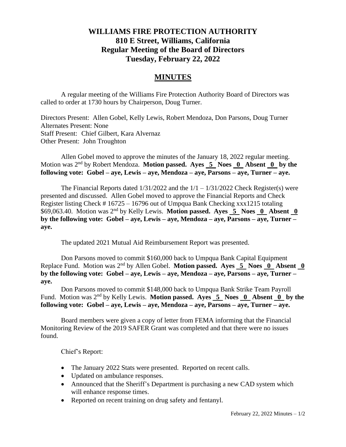## **WILLIAMS FIRE PROTECTION AUTHORITY 810 E Street, Williams, California Regular Meeting of the Board of Directors Tuesday, February 22, 2022**

## **MINUTES**

A regular meeting of the Williams Fire Protection Authority Board of Directors was called to order at 1730 hours by Chairperson, Doug Turner.

Directors Present: Allen Gobel, Kelly Lewis, Robert Mendoza, Don Parsons, Doug Turner Alternates Present: None Staff Present: Chief Gilbert, Kara Alvernaz Other Present: John Troughton

Allen Gobel moved to approve the minutes of the January 18, 2022 regular meeting. Motion was 2<sup>nd</sup> by Robert Mendoza. **Motion passed.** Ayes 5 Noes 0 Absent 0 by the **following vote: Gobel – aye, Lewis – aye, Mendoza – aye, Parsons – aye, Turner – aye.**

The Financial Reports dated  $1/31/2022$  and the  $1/1 - 1/31/2022$  Check Register(s) were presented and discussed. Allen Gobel moved to approve the Financial Reports and Check Register listing Check # 16725 – 16796 out of Umpqua Bank Checking xxx1215 totaling \$69,063.40. Motion was 2<sup>nd</sup> by Kelly Lewis. Motion passed. Ayes 5 Noes 0 Absent 0 **by the following vote: Gobel – aye, Lewis – aye, Mendoza – aye, Parsons – aye, Turner – aye.**

The updated 2021 Mutual Aid Reimbursement Report was presented.

Don Parsons moved to commit \$160,000 back to Umpqua Bank Capital Equipment Replace Fund. Motion was 2nd by Allen Gobel. **Motion passed. Ayes 5 Noes 0 Absent 0 by the following vote: Gobel – aye, Lewis – aye, Mendoza – aye, Parsons – aye, Turner – aye.**

Don Parsons moved to commit \$148,000 back to Umpqua Bank Strike Team Payroll Fund. Motion was 2<sup>nd</sup> by Kelly Lewis. **Motion passed. Ayes 5 Noes 0 Absent 0 by the following vote: Gobel – aye, Lewis – aye, Mendoza – aye, Parsons – aye, Turner – aye.**

Board members were given a copy of letter from FEMA informing that the Financial Monitoring Review of the 2019 SAFER Grant was completed and that there were no issues found.

Chief's Report:

- The January 2022 Stats were presented. Reported on recent calls.
- Updated on ambulance responses.
- Announced that the Sheriff's Department is purchasing a new CAD system which will enhance response times.
- Reported on recent training on drug safety and fentanyl.